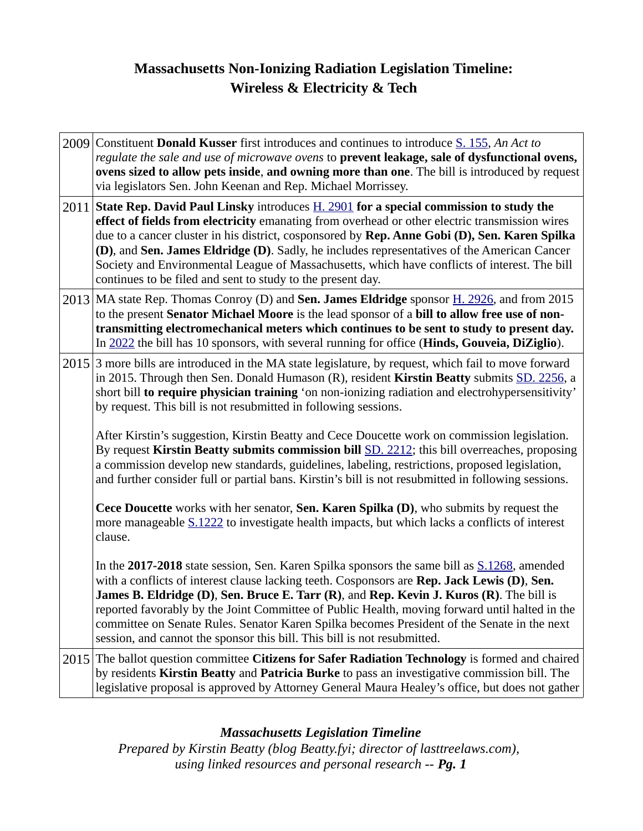# **Massachusetts Non-Ionizing Radiation Legislation Timeline: Wireless & Electricity & Tech**

| 2009 Constituent Donald Kusser first introduces and continues to introduce S. 155, An Act to<br>regulate the sale and use of microwave ovens to prevent leakage, sale of dysfunctional ovens,<br>ovens sized to allow pets inside, and owning more than one. The bill is introduced by request<br>via legislators Sen. John Keenan and Rep. Michael Morrissey.                                                                                                                                                                                                             |
|----------------------------------------------------------------------------------------------------------------------------------------------------------------------------------------------------------------------------------------------------------------------------------------------------------------------------------------------------------------------------------------------------------------------------------------------------------------------------------------------------------------------------------------------------------------------------|
| 2011 State Rep. David Paul Linsky introduces $\underline{H. 2901}$ for a special commission to study the<br>effect of fields from electricity emanating from overhead or other electric transmission wires<br>due to a cancer cluster in his district, cosponsored by Rep. Anne Gobi (D), Sen. Karen Spilka<br>(D), and Sen. James Eldridge (D). Sadly, he includes representatives of the American Cancer<br>Society and Environmental League of Massachusetts, which have conflicts of interest. The bill<br>continues to be filed and sent to study to the present day. |
| 2013 MA state Rep. Thomas Conroy (D) and Sen. James Eldridge sponsor H. 2926, and from 2015<br>to the present Senator Michael Moore is the lead sponsor of a bill to allow free use of non-<br>transmitting electromechanical meters which continues to be sent to study to present day.<br>In 2022 the bill has 10 sponsors, with several running for office (Hinds, Gouveia, DiZiglio).                                                                                                                                                                                  |
| 2015 3 more bills are introduced in the MA state legislature, by request, which fail to move forward<br>in 2015. Through then Sen. Donald Humason (R), resident Kirstin Beatty submits SD. 2256, a<br>short bill to require physician training 'on non-ionizing radiation and electrohypersensitivity'<br>by request. This bill is not resubmitted in following sessions.                                                                                                                                                                                                  |
| After Kirstin's suggestion, Kirstin Beatty and Cece Doucette work on commission legislation.<br>By request Kirstin Beatty submits commission bill SD. 2212; this bill overreaches, proposing<br>a commission develop new standards, guidelines, labeling, restrictions, proposed legislation,<br>and further consider full or partial bans. Kirstin's bill is not resubmitted in following sessions.                                                                                                                                                                       |
| Cece Doucette works with her senator, Sen. Karen Spilka (D), who submits by request the<br>more manageable S.1222 to investigate health impacts, but which lacks a conflicts of interest<br>clause.                                                                                                                                                                                                                                                                                                                                                                        |
| In the 2017-2018 state session, Sen. Karen Spilka sponsors the same bill as S.1268, amended<br>with a conflicts of interest clause lacking teeth. Cosponsors are Rep. Jack Lewis (D), Sen.<br>James B. Eldridge (D), Sen. Bruce E. Tarr (R), and Rep. Kevin J. Kuros (R). The bill is<br>reported favorably by the Joint Committee of Public Health, moving forward until halted in the<br>committee on Senate Rules. Senator Karen Spilka becomes President of the Senate in the next<br>session, and cannot the sponsor this bill. This bill is not resubmitted.         |
| 2015 The ballot question committee Citizens for Safer Radiation Technology is formed and chaired<br>by residents Kirstin Beatty and Patricia Burke to pass an investigative commission bill. The<br>legislative proposal is approved by Attorney General Maura Healey's office, but does not gather                                                                                                                                                                                                                                                                        |

## *Massachusetts Legislation Timeline*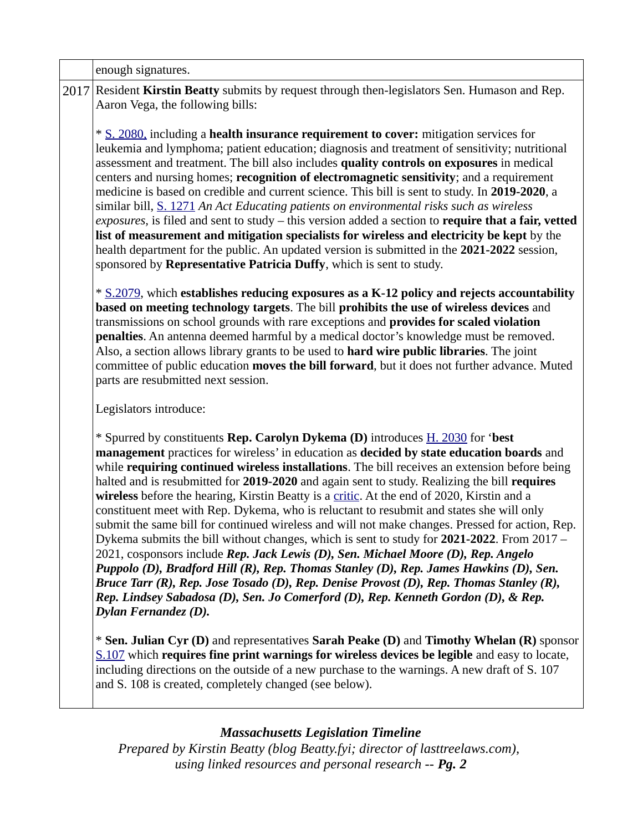| enough signatures.                                                                                                                                                                                                                                                                                                                                                                                                                                                                                                                                                                                                                                                                                                                                                                                                                                                                                                                                                                                                                                                                                                                                                  |
|---------------------------------------------------------------------------------------------------------------------------------------------------------------------------------------------------------------------------------------------------------------------------------------------------------------------------------------------------------------------------------------------------------------------------------------------------------------------------------------------------------------------------------------------------------------------------------------------------------------------------------------------------------------------------------------------------------------------------------------------------------------------------------------------------------------------------------------------------------------------------------------------------------------------------------------------------------------------------------------------------------------------------------------------------------------------------------------------------------------------------------------------------------------------|
| 2017 Resident Kirstin Beatty submits by request through then-legislators Sen. Humason and Rep.<br>Aaron Vega, the following bills:                                                                                                                                                                                                                                                                                                                                                                                                                                                                                                                                                                                                                                                                                                                                                                                                                                                                                                                                                                                                                                  |
| * S. 2080, including a health insurance requirement to cover: mitigation services for<br>leukemia and lymphoma; patient education; diagnosis and treatment of sensitivity; nutritional<br>assessment and treatment. The bill also includes quality controls on exposures in medical<br>centers and nursing homes; recognition of electromagnetic sensitivity; and a requirement<br>medicine is based on credible and current science. This bill is sent to study. In 2019-2020, a<br>similar bill, S. 1271 An Act Educating patients on environmental risks such as wireless<br>exposures, is filed and sent to study – this version added a section to require that a fair, vetted<br>list of measurement and mitigation specialists for wireless and electricity be kept by the<br>health department for the public. An updated version is submitted in the 2021-2022 session,<br>sponsored by Representative Patricia Duffy, which is sent to study.                                                                                                                                                                                                             |
| * S.2079, which establishes reducing exposures as a K-12 policy and rejects accountability<br>based on meeting technology targets. The bill prohibits the use of wireless devices and<br>transmissions on school grounds with rare exceptions and provides for scaled violation<br>penalties. An antenna deemed harmful by a medical doctor's knowledge must be removed.<br>Also, a section allows library grants to be used to hard wire public libraries. The joint<br>committee of public education moves the bill forward, but it does not further advance. Muted<br>parts are resubmitted next session.                                                                                                                                                                                                                                                                                                                                                                                                                                                                                                                                                        |
| Legislators introduce:                                                                                                                                                                                                                                                                                                                                                                                                                                                                                                                                                                                                                                                                                                                                                                                                                                                                                                                                                                                                                                                                                                                                              |
| * Spurred by constituents Rep. Carolyn Dykema (D) introduces <b>H. 2030</b> for 'best<br>management practices for wireless' in education as decided by state education boards and<br>while requiring continued wireless installations. The bill receives an extension before being<br>halted and is resubmitted for 2019-2020 and again sent to study. Realizing the bill requires<br>wireless before the hearing, Kirstin Beatty is a critic. At the end of 2020, Kirstin and a<br>constituent meet with Rep. Dykema, who is reluctant to resubmit and states she will only<br>submit the same bill for continued wireless and will not make changes. Pressed for action, Rep.<br>Dykema submits the bill without changes, which is sent to study for 2021-2022. From 2017 -<br>2021, cosponsors include Rep. Jack Lewis (D), Sen. Michael Moore (D), Rep. Angelo<br>Puppolo (D), Bradford Hill (R), Rep. Thomas Stanley (D), Rep. James Hawkins (D), Sen.<br>Bruce Tarr (R), Rep. Jose Tosado (D), Rep. Denise Provost (D), Rep. Thomas Stanley (R),<br>Rep. Lindsey Sabadosa (D), Sen. Jo Comerford (D), Rep. Kenneth Gordon (D), & Rep.<br>Dylan Fernandez (D). |
| * Sen. Julian Cyr (D) and representatives Sarah Peake (D) and Timothy Whelan (R) sponsor<br>S.107 which requires fine print warnings for wireless devices be legible and easy to locate,<br>including directions on the outside of a new purchase to the warnings. A new draft of S. 107<br>and S. 108 is created, completely changed (see below).                                                                                                                                                                                                                                                                                                                                                                                                                                                                                                                                                                                                                                                                                                                                                                                                                  |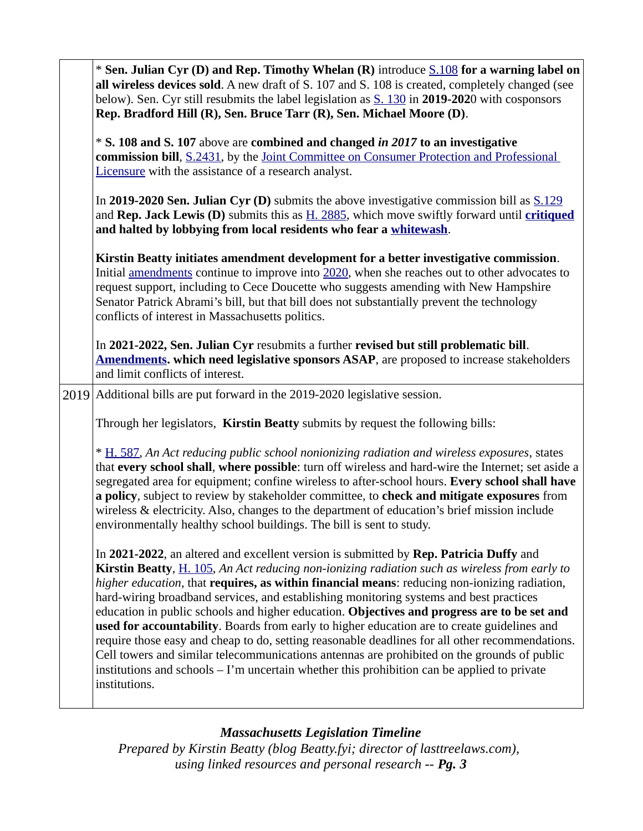| * Sen. Julian Cyr (D) and Rep. Timothy Whelan (R) introduce S.108 for a warning label on<br>all wireless devices sold. A new draft of S. 107 and S. 108 is created, completely changed (see<br>below). Sen. Cyr still resubmits the label legislation as S. 130 in 2019-2020 with cosponsors<br>Rep. Bradford Hill (R), Sen. Bruce Tarr (R), Sen. Michael Moore (D).                                                                                                                                                                                                                                                                                                                                                                                                                                                                                                                                |
|-----------------------------------------------------------------------------------------------------------------------------------------------------------------------------------------------------------------------------------------------------------------------------------------------------------------------------------------------------------------------------------------------------------------------------------------------------------------------------------------------------------------------------------------------------------------------------------------------------------------------------------------------------------------------------------------------------------------------------------------------------------------------------------------------------------------------------------------------------------------------------------------------------|
| * S. 108 and S. 107 above are combined and changed in 2017 to an investigative<br>commission bill, S.2431, by the Joint Committee on Consumer Protection and Professional<br>Licensure with the assistance of a research analyst.                                                                                                                                                                                                                                                                                                                                                                                                                                                                                                                                                                                                                                                                   |
| In 2019-2020 Sen. Julian Cyr (D) submits the above investigative commission bill as $S.129$<br>and Rep. Jack Lewis (D) submits this as $H. 2885$ , which move swiftly forward until critiqued<br>and halted by lobbying from local residents who fear a whitewash.                                                                                                                                                                                                                                                                                                                                                                                                                                                                                                                                                                                                                                  |
| Kirstin Beatty initiates amendment development for a better investigative commission.<br>Initial amendments continue to improve into 2020, when she reaches out to other advocates to<br>request support, including to Cece Doucette who suggests amending with New Hampshire<br>Senator Patrick Abrami's bill, but that bill does not substantially prevent the technology<br>conflicts of interest in Massachusetts politics.                                                                                                                                                                                                                                                                                                                                                                                                                                                                     |
| In 2021-2022, Sen. Julian Cyr resubmits a further revised but still problematic bill.<br><b>Amendments. which need legislative sponsors ASAP</b> , are proposed to increase stakeholders<br>and limit conflicts of interest.                                                                                                                                                                                                                                                                                                                                                                                                                                                                                                                                                                                                                                                                        |
| 2019 Additional bills are put forward in the 2019-2020 legislative session.                                                                                                                                                                                                                                                                                                                                                                                                                                                                                                                                                                                                                                                                                                                                                                                                                         |
| Through her legislators, Kirstin Beatty submits by request the following bills:                                                                                                                                                                                                                                                                                                                                                                                                                                                                                                                                                                                                                                                                                                                                                                                                                     |
| * H. 587, An Act reducing public school nonionizing radiation and wireless exposures, states<br>that every school shall, where possible: turn off wireless and hard-wire the Internet; set aside a<br>segregated area for equipment; confine wireless to after-school hours. Every school shall have<br>a policy, subject to review by stakeholder committee, to check and mitigate exposures from<br>wireless & electricity. Also, changes to the department of education's brief mission include<br>environmentally healthy school buildings. The bill is sent to study.                                                                                                                                                                                                                                                                                                                          |
| In 2021-2022, an altered and excellent version is submitted by Rep. Patricia Duffy and<br>Kirstin Beatty, H. 105, An Act reducing non-ionizing radiation such as wireless from early to<br>higher education, that requires, as within financial means: reducing non-ionizing radiation,<br>hard-wiring broadband services, and establishing monitoring systems and best practices<br>education in public schools and higher education. Objectives and progress are to be set and<br>used for accountability. Boards from early to higher education are to create guidelines and<br>require those easy and cheap to do, setting reasonable deadlines for all other recommendations.<br>Cell towers and similar telecommunications antennas are prohibited on the grounds of public<br>institutions and schools $-1$ 'm uncertain whether this prohibition can be applied to private<br>institutions. |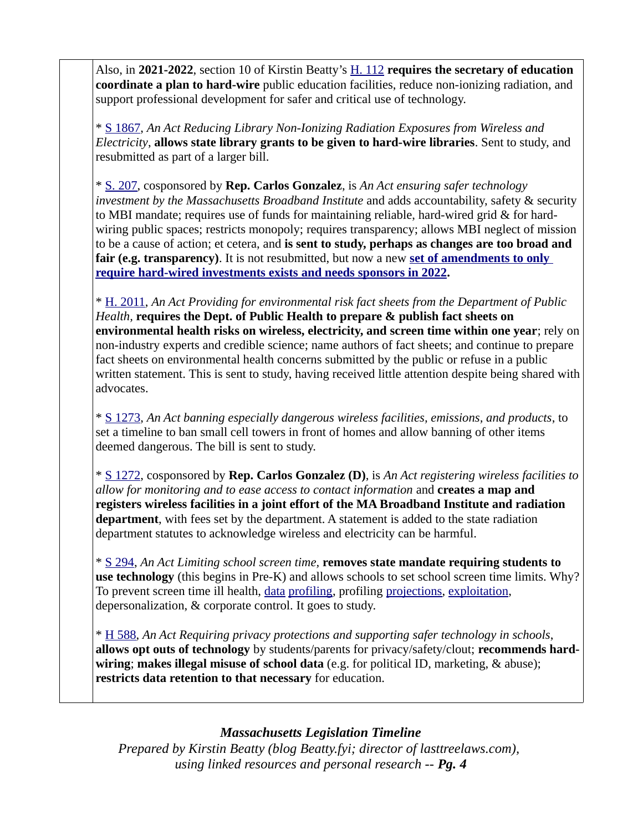Also, in **2021-2022**, section 10 of Kirstin Beatty's [H. 112](https://malegislature.gov/Bills/192/H112) **requires the secretary of education coordinate a plan to hard-wire** public education facilities, reduce non-ionizing radiation, and support professional development for safer and critical use of technology.

\* [S 1867,](https://malegislature.gov/Bills/191/S1867) *An Act Reducing Library Non-Ionizing Radiation Exposures from Wireless and Electricity*, **allows state library grants to be given to hard-wire libraries**. Sent to study, and resubmitted as part of a larger bill.

\* [S. 207,](https://malegislature.gov/Bills/191/S207) cosponsored by **Rep. Carlos Gonzalez**, is *An Act ensuring safer technology investment by the Massachusetts Broadband Institute* and adds accountability, safety & security to MBI mandate; requires use of funds for maintaining reliable, hard-wired grid & for hardwiring public spaces; restricts monopoly; requires transparency; allows MBI neglect of mission to be a cause of action; et cetera, and **is sent to study, perhaps as changes are too broad and**  fair (e.g. transparency). It is not resubmitted, but now a new set of amendments to only  **[require hard-wired investments exists and needs sponsors in 2022.](https://lasttreelaws.com/2022/03/wired-amendments/)**

\* [H. 2011](https://malegislature.gov/Bills/191/H2011), *An Act Providing for environmental risk fact sheets from the Department of Public Health,* **requires the Dept. of Public Health to prepare & publish fact sheets on environmental health risks on wireless, electricity, and screen time within one year**; rely on non-industry experts and credible science; name authors of fact sheets; and continue to prepare fact sheets on environmental health concerns submitted by the public or refuse in a public written statement. This is sent to study, having received little attention despite being shared with advocates.

\* [S 1273,](https://malegislature.gov/Bills/191/S1273) *An Act banning especially dangerous wireless facilities, emissions, and products*, to set a timeline to ban small cell towers in front of homes and allow banning of other items deemed dangerous. The bill is sent to study.

\* [S 1272,](https://malegislature.gov/Bills/191/S1272) cosponsored by **Rep. Carlos Gonzalez (D)**, is *An Act registering wireless facilities to allow for monitoring and to ease access to contact information* and **creates a map and registers wireless facilities in a joint effort of the MA Broadband Institute and radiation department**, with fees set by the department. A statement is added to the state radiation department statutes to acknowledge wireless and electricity can be harmful.

\* [S 294,](https://malegislature.gov/Bills/191/S294) *An Act Limiting school screen time,* **removes state mandate requiring students to use technology** (this begins in Pre-K) and allows schools to set school screen time limits. Why? To prevent screen time ill health, [data](https://modelviewculture.com/pieces/grooming-students-for-a-lifetime-of-surveillance) [profiling,](https://dissidentvoice.org/2016/10/education-technology-surveillance-and-americas-authoritarian-democracy/) profiling [projections](https://www.youtube.com/watch?v=b-SzLqMZd2o), [exploitation](https://dissidentvoice.org/2016/11/social-impact-bonds-the-titans-of-finance-as-the-altruistic-merchants-of-schooling-and-the-common-good/), depersonalization, & corporate control. It goes to study.

\* [H 588,](https://malegislature.gov/Bills/191/H588) *An Act Requiring privacy protections and supporting safer technology in schools*, **allows opt outs of technology** by students/parents for privacy/safety/clout; **recommends hardwiring**; **makes illegal misuse of school data** (e.g. for political ID, marketing, & abuse); **restricts data retention to that necessary** for education.

#### *Massachusetts Legislation Timeline*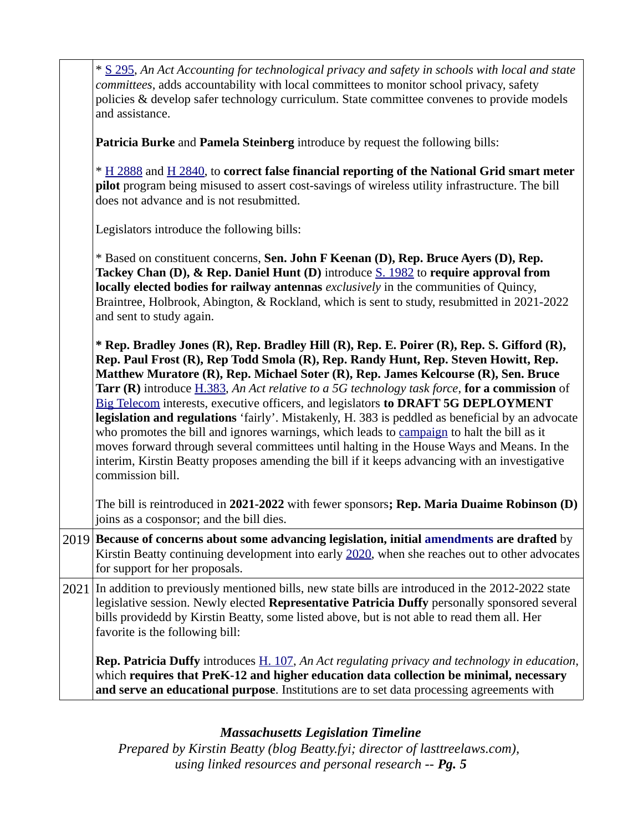| * S 295, An Act Accounting for technological privacy and safety in schools with local and state<br>committees, adds accountability with local committees to monitor school privacy, safety<br>policies & develop safer technology curriculum. State committee convenes to provide models<br>and assistance.                                                                                                                                                                                                                                                                                                                                                                                                                                                                                                                                                                                     |
|-------------------------------------------------------------------------------------------------------------------------------------------------------------------------------------------------------------------------------------------------------------------------------------------------------------------------------------------------------------------------------------------------------------------------------------------------------------------------------------------------------------------------------------------------------------------------------------------------------------------------------------------------------------------------------------------------------------------------------------------------------------------------------------------------------------------------------------------------------------------------------------------------|
| Patricia Burke and Pamela Steinberg introduce by request the following bills:                                                                                                                                                                                                                                                                                                                                                                                                                                                                                                                                                                                                                                                                                                                                                                                                                   |
| * H 2888 and H 2840, to correct false financial reporting of the National Grid smart meter<br>pilot program being misused to assert cost-savings of wireless utility infrastructure. The bill<br>does not advance and is not resubmitted.                                                                                                                                                                                                                                                                                                                                                                                                                                                                                                                                                                                                                                                       |
| Legislators introduce the following bills:                                                                                                                                                                                                                                                                                                                                                                                                                                                                                                                                                                                                                                                                                                                                                                                                                                                      |
| * Based on constituent concerns, Sen. John F Keenan (D), Rep. Bruce Ayers (D), Rep.<br>Tackey Chan (D), & Rep. Daniel Hunt (D) introduce S. 1982 to require approval from<br>locally elected bodies for railway antennas exclusively in the communities of Quincy,<br>Braintree, Holbrook, Abington, & Rockland, which is sent to study, resubmitted in 2021-2022<br>and sent to study again.                                                                                                                                                                                                                                                                                                                                                                                                                                                                                                   |
| * Rep. Bradley Jones (R), Rep. Bradley Hill (R), Rep. E. Poirer (R), Rep. S. Gifford (R),<br>Rep. Paul Frost (R), Rep Todd Smola (R), Rep. Randy Hunt, Rep. Steven Howitt, Rep.<br>Matthew Muratore (R), Rep. Michael Soter (R), Rep. James Kelcourse (R), Sen. Bruce<br><b>Tarr (R)</b> introduce <i>H.383</i> , An Act relative to a 5G technology task force, for a commission of<br>Big Telecom interests, executive officers, and legislators to DRAFT 5G DEPLOYMENT<br>legislation and regulations 'fairly'. Mistakenly, H. 383 is peddled as beneficial by an advocate<br>who promotes the bill and ignores warnings, which leads to campaign to halt the bill as it<br>moves forward through several committees until halting in the House Ways and Means. In the<br>interim, Kirstin Beatty proposes amending the bill if it keeps advancing with an investigative<br>commission bill. |
| The bill is reintroduced in 2021-2022 with fewer sponsors; Rep. Maria Duaime Robinson (D)<br>joins as a cosponsor; and the bill dies.                                                                                                                                                                                                                                                                                                                                                                                                                                                                                                                                                                                                                                                                                                                                                           |
| 2019 Because of concerns about some advancing legislation, initial amendments are drafted by<br>Kirstin Beatty continuing development into early 2020, when she reaches out to other advocates<br>for support for her proposals.                                                                                                                                                                                                                                                                                                                                                                                                                                                                                                                                                                                                                                                                |
| $2021$ In addition to previously mentioned bills, new state bills are introduced in the 2012-2022 state<br>legislative session. Newly elected Representative Patricia Duffy personally sponsored several<br>bills providedd by Kirstin Beatty, some listed above, but is not able to read them all. Her<br>favorite is the following bill:                                                                                                                                                                                                                                                                                                                                                                                                                                                                                                                                                      |
| <b>Rep. Patricia Duffy</b> introduces $\underline{H}$ . 107, An Act regulating privacy and technology in education,<br>which requires that PreK-12 and higher education data collection be minimal, necessary<br>and serve an educational purpose. Institutions are to set data processing agreements with                                                                                                                                                                                                                                                                                                                                                                                                                                                                                                                                                                                      |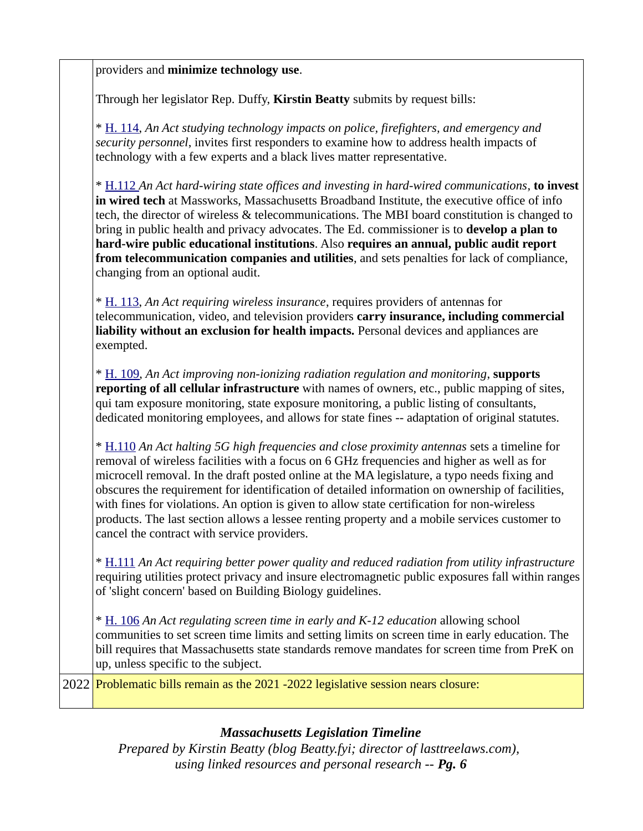providers and **minimize technology use**.

Through her legislator Rep. Duffy, **Kirstin Beatty** submits by request bills:

\* [H. 114](https://malegislature.gov/Bills/192/H114/BillHistory), *An Act studying technology impacts on police, firefighters, and emergency and security personnel*, invites first responders to examine how to address health impacts of technology with a few experts and a black lives matter representative.

\* [H.112](https://malegislature.gov/Bills/192/H112) *An Act hard-wiring state offices and investing in hard-wired communications*, **to invest in wired tech** at Massworks, Massachusetts Broadband Institute, the executive office of info tech, the director of wireless & telecommunications. The MBI board constitution is changed to bring in public health and privacy advocates. The Ed. commissioner is to **develop a plan to hard-wire public educational institutions**. Also **requires an annual, public audit report from telecommunication companies and utilities**, and sets penalties for lack of compliance, changing from an optional audit.

\* [H. 113](https://malegislature.gov/Bills/192/H113), *An Act requiring wireless insurance*, requires providers of antennas for telecommunication, video, and television providers **carry insurance, including commercial liability without an exclusion for health impacts.** Personal devices and appliances are exempted.

\* [H. 109,](https://malegislature.gov/Bills/192/H109) *An Act improving non-ionizing radiation regulation and monitoring*, **supports reporting of all cellular infrastructure** with names of owners, etc., public mapping of sites, qui tam exposure monitoring, state exposure monitoring, a public listing of consultants, dedicated monitoring employees, and allows for state fines -- adaptation of original statutes.

\* [H.110](https://malegislature.gov/Bills/192/H110) *An Act halting 5G high frequencies and close proximity antennas* sets a timeline for removal of wireless facilities with a focus on 6 GHz frequencies and higher as well as for microcell removal. In the draft posted online at the MA legislature, a typo needs fixing and obscures the requirement for identification of detailed information on ownership of facilities, with fines for violations. An option is given to allow state certification for non-wireless products. The last section allows a lessee renting property and a mobile services customer to cancel the contract with service providers.

\* [H.111](https://malegislature.gov/Bills/192/H111) *An Act requiring better power quality and reduced radiation from utility infrastructure* requiring utilities protect privacy and insure electromagnetic public exposures fall within ranges of 'slight concern' based on Building Biology guidelines.

\* [H. 106](https://malegislature.gov/Bills/192/H106) *An Act regulating screen time in early and K-12 education* allowing school communities to set screen time limits and setting limits on screen time in early education. The bill requires that Massachusetts state standards remove mandates for screen time from PreK on up, unless specific to the subject.

2022 Problematic bills remain as the 2021 -2022 legislative session nears closure:

#### *Massachusetts Legislation Timeline*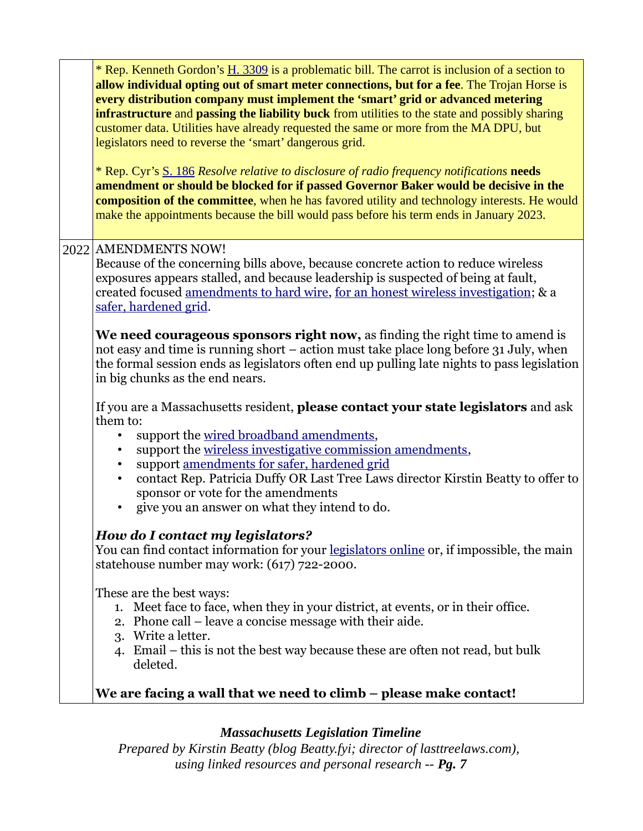| * Rep. Kenneth Gordon's H. 3309 is a problematic bill. The carrot is inclusion of a section to<br>allow individual opting out of smart meter connections, but for a fee. The Trojan Horse is<br>every distribution company must implement the 'smart' grid or advanced metering<br>infrastructure and passing the liability buck from utilities to the state and possibly sharing<br>customer data. Utilities have already requested the same or more from the MA DPU, but<br>legislators need to reverse the 'smart' dangerous grid.<br>* Rep. Cyr's S. 186 Resolve relative to disclosure of radio frequency notifications needs<br>amendment or should be blocked for if passed Governor Baker would be decisive in the<br>composition of the committee, when he has favored utility and technology interests. He would<br>make the appointments because the bill would pass before his term ends in January 2023. |
|-----------------------------------------------------------------------------------------------------------------------------------------------------------------------------------------------------------------------------------------------------------------------------------------------------------------------------------------------------------------------------------------------------------------------------------------------------------------------------------------------------------------------------------------------------------------------------------------------------------------------------------------------------------------------------------------------------------------------------------------------------------------------------------------------------------------------------------------------------------------------------------------------------------------------|
| 2022 AMENDMENTS NOW!<br>Because of the concerning bills above, because concrete action to reduce wireless<br>exposures appears stalled, and because leadership is suspected of being at fault,<br>created focused amendments to hard wire, for an honest wireless investigation; & a<br>safer, hardened grid.                                                                                                                                                                                                                                                                                                                                                                                                                                                                                                                                                                                                         |
| We need courageous sponsors right now, as finding the right time to amend is<br>not easy and time is running short – action must take place long before 31 July, when<br>the formal session ends as legislators often end up pulling late nights to pass legislation<br>in big chunks as the end nears.                                                                                                                                                                                                                                                                                                                                                                                                                                                                                                                                                                                                               |
| If you are a Massachusetts resident, please contact your state legislators and ask<br>them to:<br>support the wired broadband amendments,<br>support the wireless investigative commission amendments,<br>support amendments for safer, hardened grid<br>contact Rep. Patricia Duffy OR Last Tree Laws director Kirstin Beatty to offer to<br>$\bullet$<br>sponsor or vote for the amendments<br>give you an answer on what they intend to do.                                                                                                                                                                                                                                                                                                                                                                                                                                                                        |
| How do I contact my legislators?<br>You can find contact information for your <u>legislators online</u> or, if impossible, the main<br>statehouse number may work: (617) 722-2000.                                                                                                                                                                                                                                                                                                                                                                                                                                                                                                                                                                                                                                                                                                                                    |
| These are the best ways:<br>1. Meet face to face, when they in your district, at events, or in their office.<br>2. Phone call – leave a concise message with their aide.<br>3. Write a letter.<br>4. Email – this is not the best way because these are often not read, but bulk<br>deleted.                                                                                                                                                                                                                                                                                                                                                                                                                                                                                                                                                                                                                          |
| We are facing a wall that we need to climb - please make contact!                                                                                                                                                                                                                                                                                                                                                                                                                                                                                                                                                                                                                                                                                                                                                                                                                                                     |